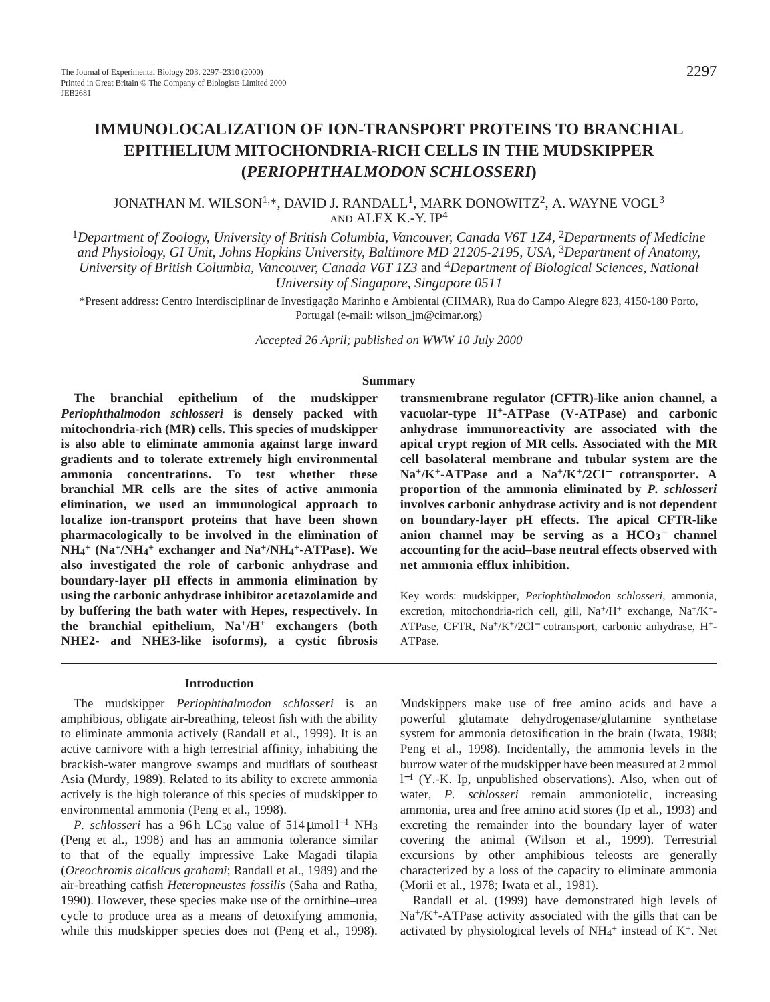# **IMMUNOLOCALIZATION OF ION-TRANSPORT PROTEINS TO BRANCHIAL EPITHELIUM MITOCHONDRIA-RICH CELLS IN THE MUDSKIPPER (***PERIOPHTHALMODON SCHLOSSERI***)**

# JONATHAN M. WILSON1,\*, DAVID J. RANDALL1, MARK DONOWITZ2, A. WAYNE VOGL3 AND ALEX K.-Y. IP<sup>4</sup>

<sup>1</sup>*Department of Zoology, University of British Columbia, Vancouver, Canada V6T 1Z4,* 2*Departments of Medicine and Physiology, GI Unit, Johns Hopkins University, Baltimore MD 21205-2195, USA,* 3*Department of Anatomy, University of British Columbia, Vancouver, Canada V6T 1Z3* and 4*Department of Biological Sciences, National University of Singapore, Singapore 0511*

\*Present address: Centro Interdisciplinar de Investigação Marinho e Ambiental (CIIMAR), Rua do Campo Alegre 823, 4150-180 Porto, Portugal (e-mail: wilson\_jm@cimar.org)

*Accepted 26 April; published on WWW 10 July 2000*

#### **Summary**

**The branchial epithelium of the mudskipper** *Periophthalmodon schlosseri* **is densely packed with mitochondria-rich (MR) cells. This species of mudskipper is also able to eliminate ammonia against large inward gradients and to tolerate extremely high environmental ammonia concentrations. To test whether these branchial MR cells are the sites of active ammonia elimination, we used an immunological approach to localize ion-transport proteins that have been shown pharmacologically to be involved in the elimination of NH4 <sup>+</sup> (Na+/NH4 <sup>+</sup> exchanger and Na+/NH4 +-ATPase). We also investigated the role of carbonic anhydrase and boundary-layer pH effects in ammonia elimination by using the carbonic anhydrase inhibitor acetazolamide and by buffering the bath water with Hepes, respectively. In the branchial epithelium, Na+/H+ exchangers (both NHE2- and NHE3-like isoforms), a cystic fibrosis**

#### **Introduction**

The mudskipper *Periophthalmodon schlosseri* is an amphibious, obligate air-breathing, teleost fish with the ability to eliminate ammonia actively (Randall et al., 1999). It is an active carnivore with a high terrestrial affinity, inhabiting the brackish-water mangrove swamps and mudflats of southeast Asia (Murdy, 1989). Related to its ability to excrete ammonia actively is the high tolerance of this species of mudskipper to environmental ammonia (Peng et al., 1998).

*P. schlosseri* has a 96h LC<sub>50</sub> value of 514 µmol l<sup>−1</sup> NH<sub>3</sub> (Peng et al., 1998) and has an ammonia tolerance similar to that of the equally impressive Lake Magadi tilapia (*Oreochromis alcalicus grahami*; Randall et al., 1989) and the air-breathing catfish *Heteropneustes fossilis* (Saha and Ratha, 1990). However, these species make use of the ornithine–urea cycle to produce urea as a means of detoxifying ammonia, while this mudskipper species does not (Peng et al., 1998). **transmembrane regulator (CFTR)-like anion channel, a vacuolar-type H+-ATPase (V-ATPase) and carbonic anhydrase immunoreactivity are associated with the apical crypt region of MR cells. Associated with the MR cell basolateral membrane and tubular system are the Na+/K+-ATPase and a Na+/K+/2Cl**<sup>−</sup> **cotransporter. A proportion of the ammonia eliminated by** *P. schlosseri* **involves carbonic anhydrase activity and is not dependent on boundary-layer pH effects. The apical CFTR-like** anion channel may be serving as a  $HCO_3^-$  channel **accounting for the acid–base neutral effects observed with net ammonia efflux inhibition.**

Key words: mudskipper, *Periophthalmodon schlosseri*, ammonia, excretion, mitochondria-rich cell, gill,  $Na^{+}/H^{+}$  exchange,  $Na^{+}/K^{+}$ -ATPase, CFTR, Na+/K+/2Cl<sup>−</sup> cotransport, carbonic anhydrase, H+- ATPase.

Mudskippers make use of free amino acids and have a powerful glutamate dehydrogenase/glutamine synthetase system for ammonia detoxification in the brain (Iwata, 1988; Peng et al., 1998). Incidentally, the ammonia levels in the burrow water of the mudskipper have been measured at 2 mmol l <sup>−</sup><sup>1</sup> (Y.-K. Ip, unpublished observations). Also, when out of water, *P. schlosseri* remain ammoniotelic, increasing ammonia, urea and free amino acid stores (Ip et al., 1993) and excreting the remainder into the boundary layer of water covering the animal (Wilson et al., 1999). Terrestrial excursions by other amphibious teleosts are generally characterized by a loss of the capacity to eliminate ammonia (Morii et al., 1978; Iwata et al., 1981).

Randall et al. (1999) have demonstrated high levels of Na+/K+-ATPase activity associated with the gills that can be activated by physiological levels of  $NH_4^+$  instead of  $K^+$ . Net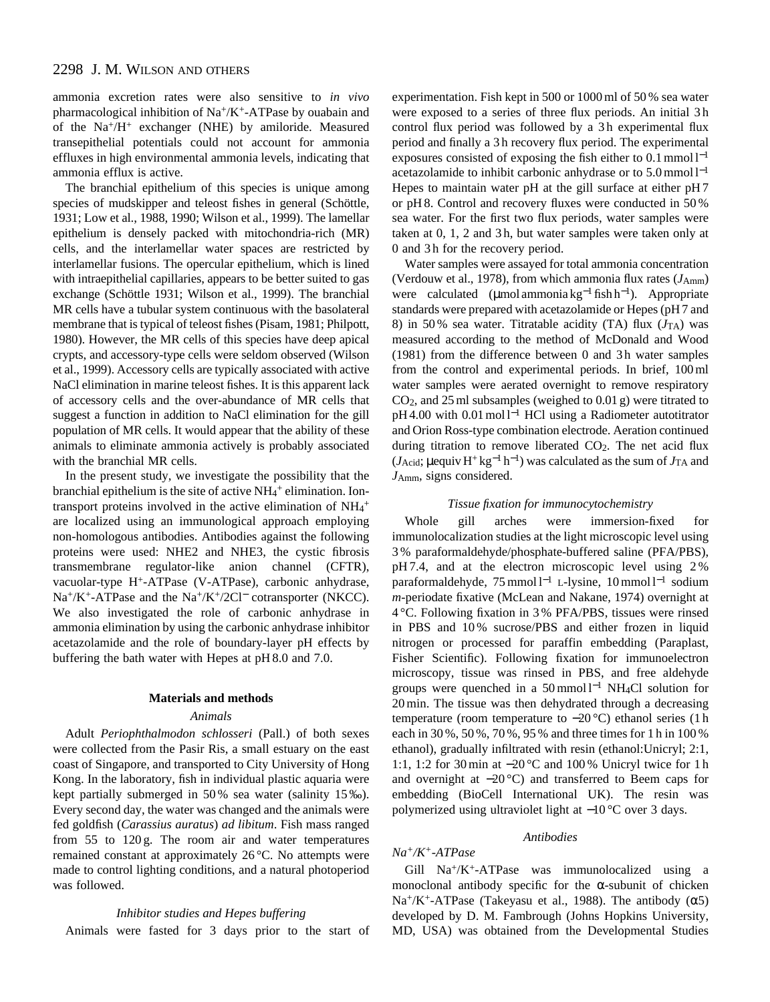ammonia excretion rates were also sensitive to *in vivo* pharmacological inhibition of Na+/K+-ATPase by ouabain and of the Na+/H+ exchanger (NHE) by amiloride. Measured transepithelial potentials could not account for ammonia effluxes in high environmental ammonia levels, indicating that ammonia efflux is active.

The branchial epithelium of this species is unique among species of mudskipper and teleost fishes in general (Schöttle, 1931; Low et al., 1988, 1990; Wilson et al., 1999). The lamellar epithelium is densely packed with mitochondria-rich (MR) cells, and the interlamellar water spaces are restricted by interlamellar fusions. The opercular epithelium, which is lined with intraepithelial capillaries, appears to be better suited to gas exchange (Schöttle 1931; Wilson et al., 1999). The branchial MR cells have a tubular system continuous with the basolateral membrane that is typical of teleost fishes (Pisam, 1981; Philpott, 1980). However, the MR cells of this species have deep apical crypts, and accessory-type cells were seldom observed (Wilson et al., 1999). Accessory cells are typically associated with active NaCl elimination in marine teleost fishes. It is this apparent lack of accessory cells and the over-abundance of MR cells that suggest a function in addition to NaCl elimination for the gill population of MR cells. It would appear that the ability of these animals to eliminate ammonia actively is probably associated with the branchial MR cells.

In the present study, we investigate the possibility that the branchial epithelium is the site of active NH<sub>4</sub>+ elimination. Iontransport proteins involved in the active elimination of  $NH_4$ <sup>+</sup> are localized using an immunological approach employing non-homologous antibodies. Antibodies against the following proteins were used: NHE2 and NHE3, the cystic fibrosis transmembrane regulator-like anion channel (CFTR), vacuolar-type H+-ATPase (V-ATPase), carbonic anhydrase, Na+/K+-ATPase and the Na+/K+/2Cl<sup>−</sup> cotransporter (NKCC). We also investigated the role of carbonic anhydrase in ammonia elimination by using the carbonic anhydrase inhibitor acetazolamide and the role of boundary-layer pH effects by buffering the bath water with Hepes at pH 8.0 and 7.0.

# **Materials and methods**

# *Animals*

Adult *Periophthalmodon schlosseri* (Pall.) of both sexes were collected from the Pasir Ris, a small estuary on the east coast of Singapore, and transported to City University of Hong Kong. In the laboratory, fish in individual plastic aquaria were kept partially submerged in 50 % sea water (salinity 15 ‰). Every second day, the water was changed and the animals were fed goldfish (*Carassius auratus*) *ad libitum*. Fish mass ranged from 55 to 120 g. The room air and water temperatures remained constant at approximately 26 °C. No attempts were made to control lighting conditions, and a natural photoperiod was followed.

#### *Inhibitor studies and Hepes buffering*

Animals were fasted for 3 days prior to the start of

experimentation. Fish kept in 500 or 1000 ml of 50 % sea water were exposed to a series of three flux periods. An initial 3 h control flux period was followed by a 3h experimental flux period and finally a 3 h recovery flux period. The experimental exposures consisted of exposing the fish either to 0.1 mmol l−<sup>1</sup> acetazolamide to inhibit carbonic anhydrase or to 5.0 mmol l−<sup>1</sup> Hepes to maintain water pH at the gill surface at either pH 7 or pH 8. Control and recovery fluxes were conducted in 50 % sea water. For the first two flux periods, water samples were taken at 0, 1, 2 and 3 h, but water samples were taken only at 0 and 3 h for the recovery period.

Water samples were assayed for total ammonia concentration (Verdouw et al., 1978), from which ammonia flux rates ( $J_{Amm}$ ) were calculated (μmol ammonia kg<sup>-1</sup> fish h<sup>-1</sup>). Appropriate standards were prepared with acetazolamide or Hepes (pH 7 and 8) in 50% sea water. Titratable acidity (TA) flux  $(J<sub>TA</sub>)$  was measured according to the method of McDonald and Wood (1981) from the difference between 0 and 3 h water samples from the control and experimental periods. In brief, 100 ml water samples were aerated overnight to remove respiratory CO2, and 25 ml subsamples (weighed to 0.01 g) were titrated to pH 4.00 with 0.01 mol l<sup>-1</sup> HCl using a Radiometer autotitrator and Orion Ross-type combination electrode. Aeration continued during titration to remove liberated  $CO<sub>2</sub>$ . The net acid flux ( $J_{\text{Acid}}$ ; µequiv H<sup>+</sup> kg<sup>-1</sup> h<sup>-1</sup>) was calculated as the sum of  $J_{\text{TA}}$  and *J*Amm, signs considered.

#### *Tissue fixation for immunocytochemistry*

Whole gill arches were immersion-fixed for immunolocalization studies at the light microscopic level using 3 % paraformaldehyde/phosphate-buffered saline (PFA/PBS), pH 7.4, and at the electron microscopic level using 2 % paraformaldehyde, 75 mmol l<sup>-1</sup> L-lysine, 10 mmol l<sup>-1</sup> sodium *m*-periodate fixative (McLean and Nakane, 1974) overnight at 4 °C. Following fixation in 3 % PFA/PBS, tissues were rinsed in PBS and 10 % sucrose/PBS and either frozen in liquid nitrogen or processed for paraffin embedding (Paraplast, Fisher Scientific). Following fixation for immunoelectron microscopy, tissue was rinsed in PBS, and free aldehyde groups were quenched in a 50 mmol  $l^{-1}$  NH<sub>4</sub>Cl solution for 20 min. The tissue was then dehydrated through a decreasing temperature (room temperature to −20 °C) ethanol series (1 h each in 30 %, 50 %, 70 %, 95 % and three times for 1 h in 100 % ethanol), gradually infiltrated with resin (ethanol:Unicryl; 2:1, 1:1, 1:2 for 30 min at −20 °C and 100 % Unicryl twice for 1 h and overnight at −20 °C) and transferred to Beem caps for embedding (BioCell International UK). The resin was polymerized using ultraviolet light at −10 °C over 3 days.

# *Antibodies*

*Na+/K+-ATPase*

# Gill  $Na^{+}/K^{+}$ -ATPase was immunolocalized using a monoclonal antibody specific for the  $\alpha$ -subunit of chicken Na<sup>+</sup>/K<sup>+</sup>-ATPase (Takeyasu et al., 1988). The antibody  $(\alpha 5)$ developed by D. M. Fambrough (Johns Hopkins University, MD, USA) was obtained from the Developmental Studies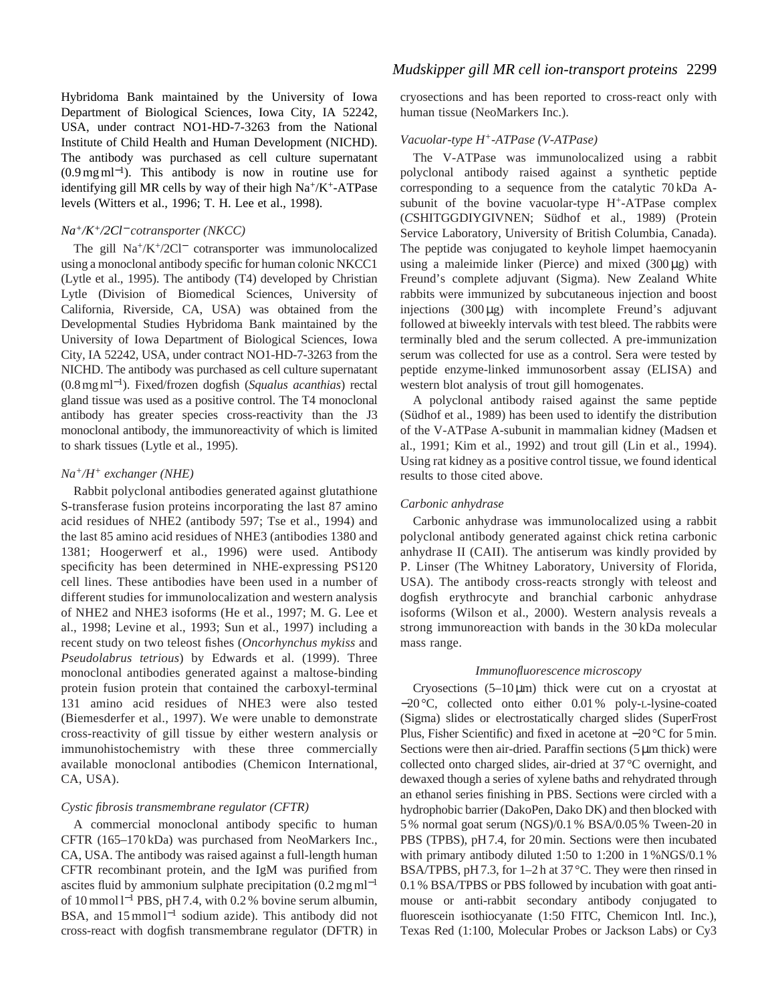Hybridoma Bank maintained by the University of Iowa Department of Biological Sciences, Iowa City, IA 52242, USA, under contract NO1-HD-7-3263 from the National Institute of Child Health and Human Development (NICHD). The antibody was purchased as cell culture supernatant  $(0.9 \,\text{mg}\,\text{m}^{-1})$ . This antibody is now in routine use for identifying gill MR cells by way of their high Na+/K+-ATPase levels (Witters et al., 1996; T. H. Lee et al., 1998).

### *Na+/K+/2Cl*<sup>−</sup> *cotransporter (NKCC)*

The gill Na+/K+/2Cl<sup>−</sup> cotransporter was immunolocalized using a monoclonal antibody specific for human colonic NKCC1 (Lytle et al., 1995). The antibody (T4) developed by Christian Lytle (Division of Biomedical Sciences, University of California, Riverside, CA, USA) was obtained from the Developmental Studies Hybridoma Bank maintained by the University of Iowa Department of Biological Sciences, Iowa City, IA 52242, USA, under contract NO1-HD-7-3263 from the NICHD. The antibody was purchased as cell culture supernatant (0.8 mg ml<sup>−</sup>1). Fixed/frozen dogfish (*Squalus acanthias*) rectal gland tissue was used as a positive control. The T4 monoclonal antibody has greater species cross-reactivity than the J3 monoclonal antibody, the immunoreactivity of which is limited to shark tissues (Lytle et al., 1995).

### *Na+/H+ exchanger (NHE)*

Rabbit polyclonal antibodies generated against glutathione S-transferase fusion proteins incorporating the last 87 amino acid residues of NHE2 (antibody 597; Tse et al., 1994) and the last 85 amino acid residues of NHE3 (antibodies 1380 and 1381; Hoogerwerf et al., 1996) were used. Antibody specificity has been determined in NHE-expressing PS120 cell lines. These antibodies have been used in a number of different studies for immunolocalization and western analysis of NHE2 and NHE3 isoforms (He et al., 1997; M. G. Lee et al., 1998; Levine et al., 1993; Sun et al., 1997) including a recent study on two teleost fishes (*Oncorhynchus mykiss* and *Pseudolabrus tetrious*) by Edwards et al. (1999). Three monoclonal antibodies generated against a maltose-binding protein fusion protein that contained the carboxyl-terminal 131 amino acid residues of NHE3 were also tested (Biemesderfer et al., 1997). We were unable to demonstrate cross-reactivity of gill tissue by either western analysis or immunohistochemistry with these three commercially available monoclonal antibodies (Chemicon International, CA, USA).

### *Cystic fibrosis transmembrane regulator (CFTR)*

A commercial monoclonal antibody specific to human CFTR (165–170 kDa) was purchased from NeoMarkers Inc., CA, USA. The antibody was raised against a full-length human CFTR recombinant protein, and the IgM was purified from ascites fluid by ammonium sulphate precipitation  $(0.2 \text{ mg ml}^{-1})$ of 10 mmol l−<sup>1</sup> PBS, pH 7.4, with 0.2 % bovine serum albumin, BSA, and 15 mmol l<sup>−1</sup> sodium azide). This antibody did not cross-react with dogfish transmembrane regulator (DFTR) in

# *Mudskipper gill MR cell ion-transport proteins* 2299

cryosections and has been reported to cross-react only with human tissue (NeoMarkers Inc.).

### *Vacuolar-type H+-ATPase (V-ATPase)*

The V-ATPase was immunolocalized using a rabbit polyclonal antibody raised against a synthetic peptide corresponding to a sequence from the catalytic 70 kDa Asubunit of the bovine vacuolar-type H<sup>+</sup>-ATPase complex (*C*SHITGGDIYGIVNEN; Südhof et al., 1989) (Protein Service Laboratory, University of British Columbia, Canada). The peptide was conjugated to keyhole limpet haemocyanin using a maleimide linker (Pierce) and mixed  $(300 \mu g)$  with Freund's complete adjuvant (Sigma). New Zealand White rabbits were immunized by subcutaneous injection and boost injections (300 µg) with incomplete Freund's adjuvant followed at biweekly intervals with test bleed. The rabbits were terminally bled and the serum collected. A pre-immunization serum was collected for use as a control. Sera were tested by peptide enzyme-linked immunosorbent assay (ELISA) and western blot analysis of trout gill homogenates.

A polyclonal antibody raised against the same peptide (Südhof et al., 1989) has been used to identify the distribution of the V-ATPase A-subunit in mammalian kidney (Madsen et al., 1991; Kim et al., 1992) and trout gill (Lin et al., 1994). Using rat kidney as a positive control tissue, we found identical results to those cited above.

### *Carbonic anhydrase*

Carbonic anhydrase was immunolocalized using a rabbit polyclonal antibody generated against chick retina carbonic anhydrase II (CAII). The antiserum was kindly provided by P. Linser (The Whitney Laboratory, University of Florida, USA). The antibody cross-reacts strongly with teleost and dogfish erythrocyte and branchial carbonic anhydrase isoforms (Wilson et al., 2000). Western analysis reveals a strong immunoreaction with bands in the 30 kDa molecular mass range.

#### *Immunofluorescence microscopy*

Cryosections  $(5-10 \mu m)$  thick were cut on a cryostat at −20 °C, collected onto either 0.01 % poly-L-lysine-coated (Sigma) slides or electrostatically charged slides (SuperFrost Plus, Fisher Scientific) and fixed in acetone at −20 °C for 5 min. Sections were then air-dried. Paraffin sections (5  $\mu$ m thick) were collected onto charged slides, air-dried at 37 °C overnight, and dewaxed though a series of xylene baths and rehydrated through an ethanol series finishing in PBS. Sections were circled with a hydrophobic barrier (DakoPen, Dako DK) and then blocked with 5 % normal goat serum (NGS)/0.1 % BSA/0.05 % Tween-20 in PBS (TPBS), pH 7.4, for 20 min. Sections were then incubated with primary antibody diluted 1:50 to 1:200 in 1%NGS/0.1% BSA/TPBS, pH 7.3, for 1–2 h at 37 °C. They were then rinsed in 0.1 % BSA/TPBS or PBS followed by incubation with goat antimouse or anti-rabbit secondary antibody conjugated to fluorescein isothiocyanate (1:50 FITC, Chemicon Intl. Inc.), Texas Red (1:100, Molecular Probes or Jackson Labs) or Cy3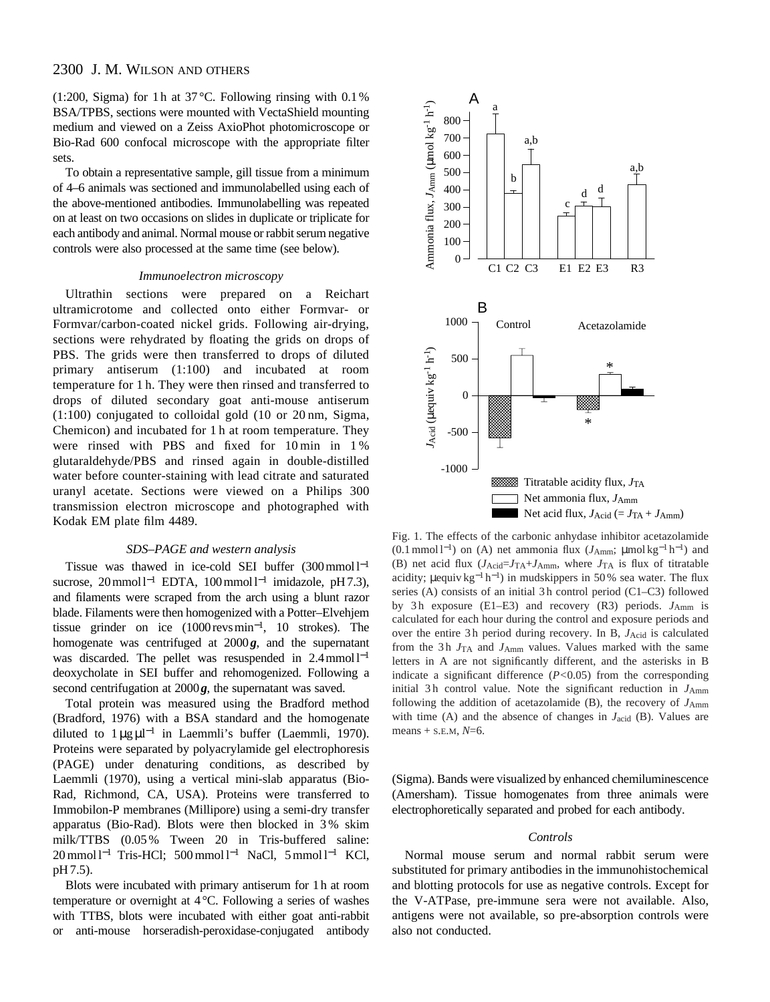(1:200, Sigma) for 1 h at  $37^{\circ}$ C. Following rinsing with 0.1% BSA/TPBS, sections were mounted with VectaShield mounting medium and viewed on a Zeiss AxioPhot photomicroscope or Bio-Rad 600 confocal microscope with the appropriate filter sets.

To obtain a representative sample, gill tissue from a minimum of 4–6 animals was sectioned and immunolabelled using each of the above-mentioned antibodies. Immunolabelling was repeated on at least on two occasions on slides in duplicate or triplicate for each antibody and animal. Normal mouse or rabbit serum negative controls were also processed at the same time (see below).

#### *Immunoelectron microscopy*

Ultrathin sections were prepared on a Reichart ultramicrotome and collected onto either Formvar- or Formvar/carbon-coated nickel grids. Following air-drying, sections were rehydrated by floating the grids on drops of PBS. The grids were then transferred to drops of diluted primary antiserum (1:100) and incubated at room temperature for 1 h. They were then rinsed and transferred to drops of diluted secondary goat anti-mouse antiserum (1:100) conjugated to colloidal gold (10 or 20 nm, Sigma, Chemicon) and incubated for 1 h at room temperature. They were rinsed with PBS and fixed for 10 min in 1 % glutaraldehyde/PBS and rinsed again in double-distilled water before counter-staining with lead citrate and saturated uranyl acetate. Sections were viewed on a Philips 300 transmission electron microscope and photographed with Kodak EM plate film 4489.

### *SDS–PAGE and western analysis*

Tissue was thawed in ice-cold SEI buffer  $(300 \text{ mmol})^{-1}$ sucrose, 20 mmol l<sup>-1</sup> EDTA, 100 mmol l<sup>-1</sup> imidazole, pH7.3), and filaments were scraped from the arch using a blunt razor blade. Filaments were then homogenized with a Potter–Elvehjem tissue grinder on ice (1000revsmin<sup>−</sup>1, 10 strokes). The homogenate was centrifuged at 2000*g*, and the supernatant was discarded. The pellet was resuspended in  $2.4 \text{ mmol}1^{-1}$ deoxycholate in SEI buffer and rehomogenized. Following a second centrifugation at 2000*g*, the supernatant was saved.

Total protein was measured using the Bradford method (Bradford, 1976) with a BSA standard and the homogenate diluted to  $1 \mu g \mu^{-1}$  in Laemmli's buffer (Laemmli, 1970). Proteins were separated by polyacrylamide gel electrophoresis (PAGE) under denaturing conditions, as described by Laemmli (1970), using a vertical mini-slab apparatus (Bio-Rad, Richmond, CA, USA). Proteins were transferred to Immobilon-P membranes (Millipore) using a semi-dry transfer apparatus (Bio-Rad). Blots were then blocked in 3 % skim milk/TTBS (0.05 % Tween 20 in Tris-buffered saline: 20 mmol l<sup>−1</sup> Tris-HCl; 500 mmol l<sup>−1</sup> NaCl, 5 mmol l<sup>−1</sup> KCl, pH 7.5).

Blots were incubated with primary antiserum for 1h at room temperature or overnight at 4°C. Following a series of washes with TTBS, blots were incubated with either goat anti-rabbit or anti-mouse horseradish-peroxidase-conjugated antibody



Fig. 1. The effects of the carbonic anhydase inhibitor acetazolamide (0.1 mmol l<sup>−</sup>1) on (A) net ammonia flux (*J*Amm; µmol kg−<sup>1</sup> h<sup>−</sup>1) and (B) net acid flux  $(J_{\text{Acid}} = J_{\text{TA}} + J_{\text{Amm}})$ , where  $J_{\text{TA}}$  is flux of titratable acidity;  $\mu$ equiv kg<sup>-1</sup> h<sup>-1</sup>) in mudskippers in 50% sea water. The flux series  $(A)$  consists of an initial 3h control period  $(C1-C3)$  followed by 3 h exposure (E1–E3) and recovery (R3) periods. *J*Amm is calculated for each hour during the control and exposure periods and over the entire 3 h period during recovery. In B, *J*Acid is calculated from the 3 h *J*TA and *J*Amm values. Values marked with the same letters in A are not significantly different, and the asterisks in B indicate a significant difference (*P<*0.05) from the corresponding initial 3h control value. Note the significant reduction in  $J_{\text{Amm}}$ following the addition of acetazolamide  $(B)$ , the recovery of  $J_{Amm}$ with time (A) and the absence of changes in *J*acid (B). Values are means + S.E.M, *N*=6.

(Sigma). Bands were visualized by enhanced chemiluminescence (Amersham). Tissue homogenates from three animals were electrophoretically separated and probed for each antibody.

#### *Controls*

Normal mouse serum and normal rabbit serum were substituted for primary antibodies in the immunohistochemical and blotting protocols for use as negative controls. Except for the V-ATPase, pre-immune sera were not available. Also, antigens were not available, so pre-absorption controls were also not conducted.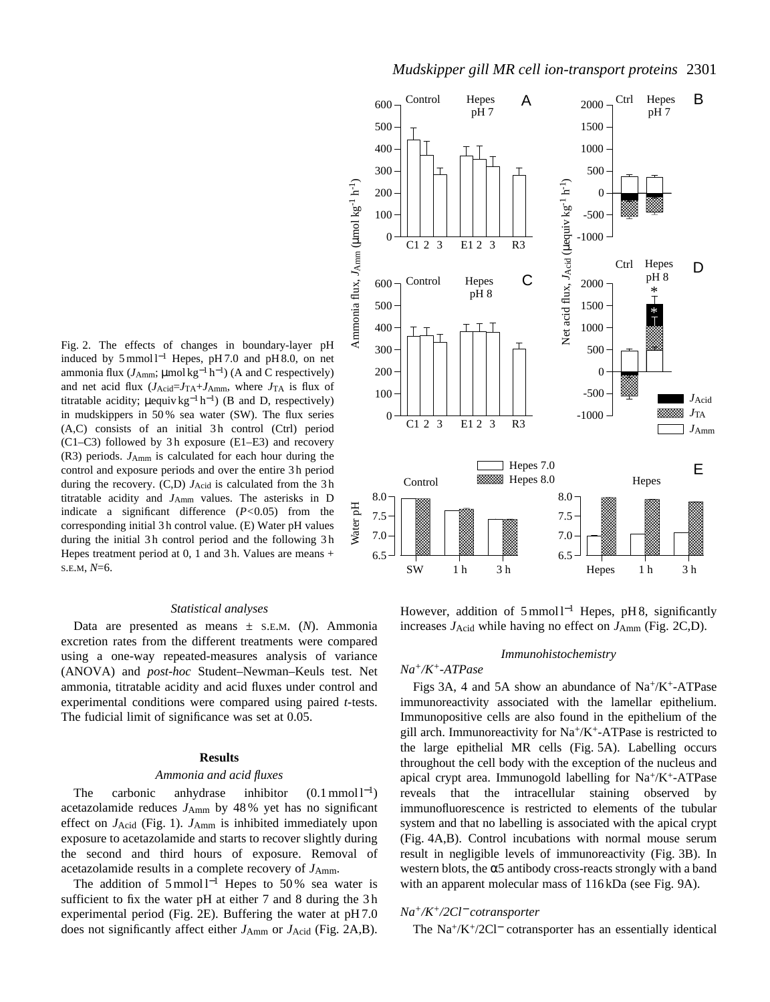

# *Mudskipper gill MR cell ion-transport proteins* 2301

Fig. 2. The effects of changes in boundary-layer pH induced by 5 mmol  $l^{-1}$  Hepes, pH 7.0 and pH 8.0, on net ammonia flux ( $J_{Amm}$ ; µmol kg<sup>-1</sup> h<sup>-1</sup>) (A and C respectively) and net acid flux  $(J_{\text{Acid}} = J_{\text{TA}} + J_{\text{Amm}})$ , where  $J_{\text{TA}}$  is flux of titratable acidity;  $\mu$ equiv kg<sup>-1</sup> h<sup>-1</sup>) (B and D, respectively) in mudskippers in 50 % sea water (SW). The flux series  $(A,C)$  consists of an initial 3h control  $(Ctrl)$  period  $(C1-C3)$  followed by 3h exposure  $(E1-E3)$  and recovery (R3) periods. *J*Amm is calculated for each hour during the control and exposure periods and over the entire 3 h period during the recovery. (C,D)  $J_{\text{Acid}}$  is calculated from the 3h titratable acidity and *J*Amm values. The asterisks in D indicate a significant difference (*P<*0.05) from the corresponding initial 3 h control value. (E) Water pH values during the initial 3h control period and the following 3h Hepes treatment period at 0, 1 and 3 h. Values are means + S.E.M, *N*=6.

#### *Statistical analyses*

Data are presented as means ± S.E.M. (*N*). Ammonia excretion rates from the different treatments were compared using a one-way repeated-measures analysis of variance (ANOVA) and *post-hoc* Student–Newman–Keuls test. Net ammonia, titratable acidity and acid fluxes under control and experimental conditions were compared using paired *t*-tests. The fudicial limit of significance was set at 0.05.

### **Results**

#### *Ammonia and acid fluxes*

The carbonic anhydrase inhibitor  $(0.1 \text{ mmol } 1^{-1})$ acetazolamide reduces *J*Amm by 48 % yet has no significant effect on *J*Acid (Fig. 1). *J*Amm is inhibited immediately upon exposure to acetazolamide and starts to recover slightly during the second and third hours of exposure. Removal of acetazolamide results in a complete recovery of  $J_{Amm}$ .

The addition of  $5 \text{ mmol } 1^{-1}$  Hepes to  $50\%$  sea water is sufficient to fix the water pH at either 7 and 8 during the 3 h experimental period (Fig. 2E). Buffering the water at pH 7.0 does not significantly affect either  $J_{Amm}$  or  $J_{Acid}$  (Fig. 2A,B). However, addition of 5 mmol l<sup>-1</sup> Hepes, pH 8, significantly increases *J*Acid while having no effect on *J*Amm (Fig. 2C,D).

### *Immunohistochemistry*

### *Na+/K+-ATPase*

Figs 3A, 4 and 5A show an abundance of  $Na^+/K^+$ -ATPase immunoreactivity associated with the lamellar epithelium. Immunopositive cells are also found in the epithelium of the gill arch. Immunoreactivity for  $Na^{+}/K^{+}$ -ATPase is restricted to the large epithelial MR cells (Fig. 5A). Labelling occurs throughout the cell body with the exception of the nucleus and apical crypt area. Immunogold labelling for  $Na^+/K^+$ -ATPase reveals that the intracellular staining observed by immunofluorescence is restricted to elements of the tubular system and that no labelling is associated with the apical crypt (Fig. 4A,B). Control incubations with normal mouse serum result in negligible levels of immunoreactivity (Fig. 3B). In western blots, the  $\alpha$ 5 antibody cross-reacts strongly with a band with an apparent molecular mass of 116 kDa (see Fig. 9A).

#### *Na+/K+/2Cl*<sup>−</sup> *cotransporter*

The Na+/K+/2Cl<sup>−</sup> cotransporter has an essentially identical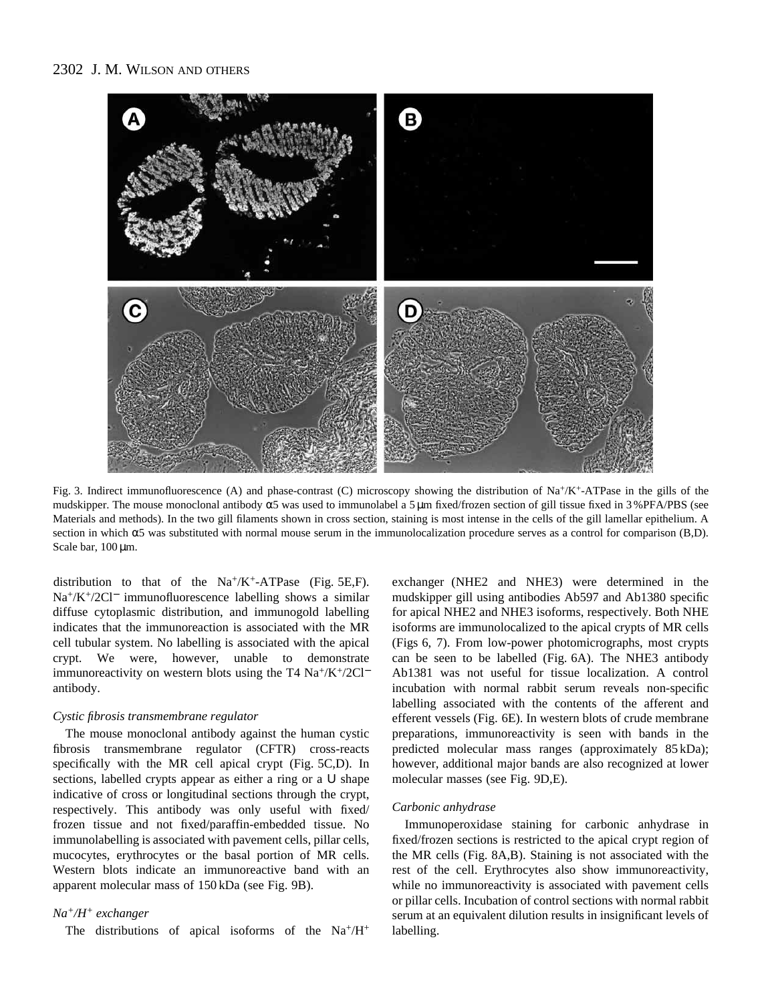

Fig. 3. Indirect immunofluorescence (A) and phase-contrast (C) microscopy showing the distribution of  $Na^+/K^+$ -ATPase in the gills of the mudskipper. The mouse monoclonal antibody α5 was used to immunolabel a 5 µm fixed/frozen section of gill tissue fixed in 3 %PFA/PBS (see Materials and methods). In the two gill filaments shown in cross section, staining is most intense in the cells of the gill lamellar epithelium. A section in which  $\alpha$ 5 was substituted with normal mouse serum in the immunolocalization procedure serves as a control for comparison (B,D). Scale bar,  $100 \,\text{\ensuremath{\mu}m}$ .

distribution to that of the  $Na^+/K^+$ -ATPase (Fig. 5E,F). Na+/K+/2Cl<sup>−</sup> immunofluorescence labelling shows a similar diffuse cytoplasmic distribution, and immunogold labelling indicates that the immunoreaction is associated with the MR cell tubular system. No labelling is associated with the apical crypt. We were, however, unable to demonstrate immunoreactivity on western blots using the T4 Na<sup>+</sup>/K<sup>+</sup>/2Cl<sup>−</sup> antibody.

#### *Cystic fibrosis transmembrane regulator*

The mouse monoclonal antibody against the human cystic fibrosis transmembrane regulator (CFTR) cross-reacts specifically with the MR cell apical crypt (Fig. 5C,D). In sections, labelled crypts appear as either a ring or a U shape indicative of cross or longitudinal sections through the crypt, respectively. This antibody was only useful with fixed/ frozen tissue and not fixed/paraffin-embedded tissue. No immunolabelling is associated with pavement cells, pillar cells, mucocytes, erythrocytes or the basal portion of MR cells. Western blots indicate an immunoreactive band with an apparent molecular mass of 150 kDa (see Fig. 9B).

# *Na+/H+ exchanger*

The distributions of apical isoforms of the Na+/H+

exchanger (NHE2 and NHE3) were determined in the mudskipper gill using antibodies Ab597 and Ab1380 specific for apical NHE2 and NHE3 isoforms, respectively. Both NHE isoforms are immunolocalized to the apical crypts of MR cells (Figs 6, 7). From low-power photomicrographs, most crypts can be seen to be labelled (Fig. 6A). The NHE3 antibody Ab1381 was not useful for tissue localization. A control incubation with normal rabbit serum reveals non-specific labelling associated with the contents of the afferent and efferent vessels (Fig. 6E). In western blots of crude membrane preparations, immunoreactivity is seen with bands in the predicted molecular mass ranges (approximately 85 kDa); however, additional major bands are also recognized at lower molecular masses (see Fig. 9D,E).

#### *Carbonic anhydrase*

Immunoperoxidase staining for carbonic anhydrase in fixed/frozen sections is restricted to the apical crypt region of the MR cells (Fig. 8A,B). Staining is not associated with the rest of the cell. Erythrocytes also show immunoreactivity, while no immunoreactivity is associated with pavement cells or pillar cells. Incubation of control sections with normal rabbit serum at an equivalent dilution results in insignificant levels of labelling.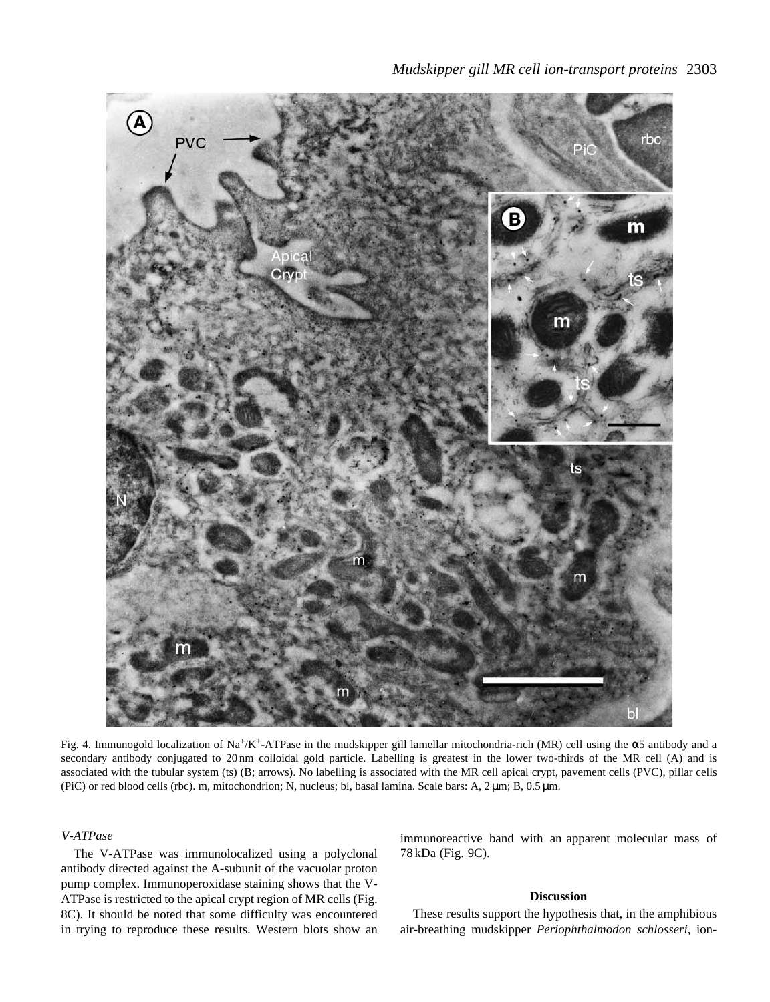

Fig. 4. Immunogold localization of Na+/K+-ATPase in the mudskipper gill lamellar mitochondria-rich (MR) cell using the α5 antibody and a secondary antibody conjugated to 20 nm colloidal gold particle. Labelling is greatest in the lower two-thirds of the MR cell (A) and is associated with the tubular system (ts) (B; arrows). No labelling is associated with the MR cell apical crypt, pavement cells (PVC), pillar cells (PiC) or red blood cells (rbc). m, mitochondrion; N, nucleus; bl, basal lamina. Scale bars: A, 2 µm; B, 0.5 µm.

*V-ATPase*

The V-ATPase was immunolocalized using a polyclonal antibody directed against the A-subunit of the vacuolar proton pump complex. Immunoperoxidase staining shows that the V-ATPase is restricted to the apical crypt region of MR cells (Fig. 8C). It should be noted that some difficulty was encountered in trying to reproduce these results. Western blots show an immunoreactive band with an apparent molecular mass of 78 kDa (Fig. 9C).

# **Discussion**

These results support the hypothesis that, in the amphibious air-breathing mudskipper *Periophthalmodon schlosseri*, ion-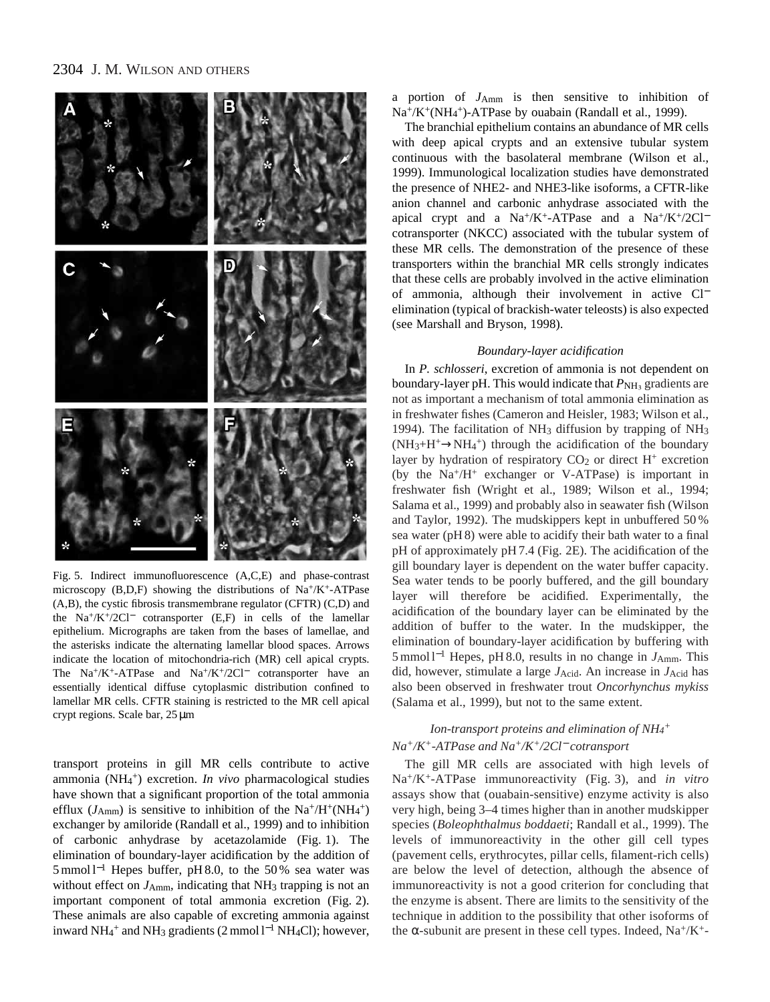

Fig. 5. Indirect immunofluorescence (A,C,E) and phase-contrast microscopy (B,D,F) showing the distributions of Na+/K+-ATPase (A,B), the cystic fibrosis transmembrane regulator (CFTR) (C,D) and the Na<sup>+</sup>/K<sup>+</sup>/2Cl<sup>−</sup> cotransporter (E,F) in cells of the lamellar epithelium. Micrographs are taken from the bases of lamellae, and the asterisks indicate the alternating lamellar blood spaces. Arrows indicate the location of mitochondria-rich (MR) cell apical crypts. The Na+/K+-ATPase and Na+/K+/2Cl<sup>−</sup> cotransporter have an essentially identical diffuse cytoplasmic distribution confined to lamellar MR cells. CFTR staining is restricted to the MR cell apical crypt regions. Scale bar, 25 µm

transport proteins in gill MR cells contribute to active ammonia (NH<sub>4</sub><sup>+</sup>) excretion. *In vivo* pharmacological studies have shown that a significant proportion of the total ammonia efflux  $(J<sub>Amm</sub>)$  is sensitive to inhibition of the Na<sup>+</sup>/H<sup>+</sup>(NH<sub>4</sub><sup>+</sup>) exchanger by amiloride (Randall et al., 1999) and to inhibition of carbonic anhydrase by acetazolamide (Fig. 1). The elimination of boundary-layer acidification by the addition of 5 mmol l−<sup>1</sup> Hepes buffer, pH 8.0, to the 50 % sea water was without effect on  $J_{Amm}$ , indicating that NH<sub>3</sub> trapping is not an important component of total ammonia excretion (Fig. 2). These animals are also capable of excreting ammonia against inward NH4 <sup>+</sup> and NH3 gradients (2 mmol l−<sup>1</sup> NH4Cl); however,

a portion of *J*Amm is then sensitive to inhibition of Na<sup>+</sup>/K<sup>+</sup>(NH<sub>4</sub><sup>+</sup>)-ATPase by ouabain (Randall et al., 1999).

The branchial epithelium contains an abundance of MR cells with deep apical crypts and an extensive tubular system continuous with the basolateral membrane (Wilson et al., 1999). Immunological localization studies have demonstrated the presence of NHE2- and NHE3-like isoforms, a CFTR-like anion channel and carbonic anhydrase associated with the apical crypt and a Na+/K+-ATPase and a Na+/K+/2Cl<sup>-</sup> cotransporter (NKCC) associated with the tubular system of these MR cells. The demonstration of the presence of these transporters within the branchial MR cells strongly indicates that these cells are probably involved in the active elimination of ammonia, although their involvement in active Cl<sup>−</sup> elimination (typical of brackish-water teleosts) is also expected (see Marshall and Bryson, 1998).

#### *Boundary-layer acidification*

In *P. schlosseri*, excretion of ammonia is not dependent on boundary-layer pH. This would indicate that  $P_{NH_3}$  gradients are not as important a mechanism of total ammonia elimination as in freshwater fishes (Cameron and Heisler, 1983; Wilson et al., 1994). The facilitation of NH3 diffusion by trapping of NH3  $(NH<sub>3</sub>+H<sup>+</sup> \rightarrow NH<sub>4</sub><sup>+</sup>)$  through the acidification of the boundary layer by hydration of respiratory  $CO<sub>2</sub>$  or direct H<sup>+</sup> excretion (by the Na+/H+ exchanger or V-ATPase) is important in freshwater fish (Wright et al., 1989; Wilson et al., 1994; Salama et al., 1999) and probably also in seawater fish (Wilson and Taylor, 1992). The mudskippers kept in unbuffered 50 % sea water (pH 8) were able to acidify their bath water to a final pH of approximately pH 7.4 (Fig. 2E). The acidification of the gill boundary layer is dependent on the water buffer capacity. Sea water tends to be poorly buffered, and the gill boundary layer will therefore be acidified. Experimentally, the acidification of the boundary layer can be eliminated by the addition of buffer to the water. In the mudskipper, the elimination of boundary-layer acidification by buffering with 5 mmol l−<sup>1</sup> Hepes, pH 8.0, results in no change in *J*Amm. This did, however, stimulate a large *J*Acid. An increase in *J*Acid has also been observed in freshwater trout *Oncorhynchus mykiss* (Salama et al., 1999), but not to the same extent.

# *Ion-transport proteins and elimination of NH4 + Na+/K+-ATPase and Na+/K+/2Cl*<sup>−</sup> *cotransport*

The gill MR cells are associated with high levels of Na+/K+-ATPase immunoreactivity (Fig. 3), and *in vitro* assays show that (ouabain-sensitive) enzyme activity is also very high, being 3–4 times higher than in another mudskipper species (*Boleophthalmus boddaeti*; Randall et al., 1999). The levels of immunoreactivity in the other gill cell types (pavement cells, erythrocytes, pillar cells, filament-rich cells) are below the level of detection, although the absence of immunoreactivity is not a good criterion for concluding that the enzyme is absent. There are limits to the sensitivity of the technique in addition to the possibility that other isoforms of the  $\alpha$ -subunit are present in these cell types. Indeed, Na<sup>+</sup>/K<sup>+</sup>-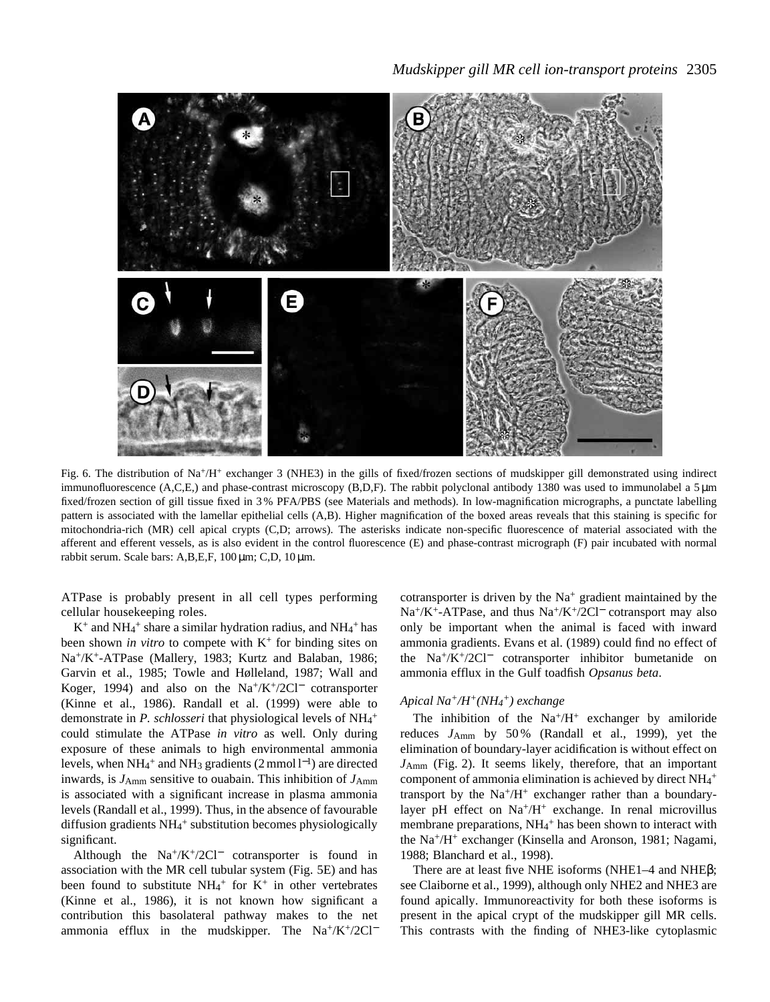

Fig. 6. The distribution of Na+/H+ exchanger 3 (NHE3) in the gills of fixed/frozen sections of mudskipper gill demonstrated using indirect immunofluorescence (A,C,E,) and phase-contrast microscopy (B,D,F). The rabbit polyclonal antibody 1380 was used to immunolabel a 5 µm fixed/frozen section of gill tissue fixed in 3 % PFA/PBS (see Materials and methods). In low-magnification micrographs, a punctate labelling pattern is associated with the lamellar epithelial cells (A,B). Higher magnification of the boxed areas reveals that this staining is specific for mitochondria-rich (MR) cell apical crypts (C,D; arrows). The asterisks indicate non-specific fluorescence of material associated with the afferent and efferent vessels, as is also evident in the control fluorescence (E) and phase-contrast micrograph (F) pair incubated with normal rabbit serum. Scale bars: A,B,E,F, 100 µm; C,D, 10 µm.

ATPase is probably present in all cell types performing cellular housekeeping roles.

 $K^+$  and NH<sub>4</sub><sup>+</sup> share a similar hydration radius, and NH<sub>4</sub><sup>+</sup> has been shown *in vitro* to compete with K<sup>+</sup> for binding sites on Na+/K+-ATPase (Mallery, 1983; Kurtz and Balaban, 1986; Garvin et al., 1985; Towle and Hølleland, 1987; Wall and Koger, 1994) and also on the  $Na^+/K^+/2Cl^-$  cotransporter (Kinne et al., 1986). Randall et al. (1999) were able to demonstrate in *P. schlosseri* that physiological levels of NH<sub>4</sub><sup>+</sup> could stimulate the ATPase *in vitro* as well*.* Only during exposure of these animals to high environmental ammonia levels, when  $NH_4^+$  and  $NH_3$  gradients (2 mmol  $l^{-1}$ ) are directed inwards, is  $J_{Amm}$  sensitive to ouabain. This inhibition of  $J_{Amm}$ is associated with a significant increase in plasma ammonia levels (Randall et al., 1999). Thus, in the absence of favourable diffusion gradients NH<sub>4</sub>+ substitution becomes physiologically significant.

Although the  $Na^+/K^+/2Cl^-$  cotransporter is found in association with the MR cell tubular system (Fig. 5E) and has been found to substitute  $NH_4^+$  for K<sup>+</sup> in other vertebrates (Kinne et al., 1986), it is not known how significant a contribution this basolateral pathway makes to the net ammonia efflux in the mudskipper. The Na<sup>+</sup>/K<sup>+</sup>/2Cl<sup>−</sup>

cotransporter is driven by the  $Na<sup>+</sup>$  gradient maintained by the Na+/K+-ATPase, and thus Na+/K+/2Cl<sup>−</sup> cotransport may also only be important when the animal is faced with inward ammonia gradients. Evans et al. (1989) could find no effect of the Na+/K+/2Cl<sup>−</sup> cotransporter inhibitor bumetanide on ammonia efflux in the Gulf toadfish *Opsanus beta*.

# *Apical Na+/H+(NH4 +) exchange*

The inhibition of the  $Na^{+}/H^{+}$  exchanger by amiloride reduces *J*Amm by 50 % (Randall et al., 1999), yet the elimination of boundary-layer acidification is without effect on *J*Amm (Fig. 2). It seems likely, therefore, that an important component of ammonia elimination is achieved by direct NH<sub>4</sub><sup>+</sup> transport by the  $Na^+/H^+$  exchanger rather than a boundarylayer pH effect on  $Na^{+}/H^{+}$  exchange. In renal microvillus membrane preparations, NH<sub>4</sub><sup>+</sup> has been shown to interact with the Na+/H+ exchanger (Kinsella and Aronson, 1981; Nagami, 1988; Blanchard et al., 1998).

There are at least five NHE isoforms (NHE1–4 and NHEβ; see Claiborne et al., 1999), although only NHE2 and NHE3 are found apically. Immunoreactivity for both these isoforms is present in the apical crypt of the mudskipper gill MR cells. This contrasts with the finding of NHE3-like cytoplasmic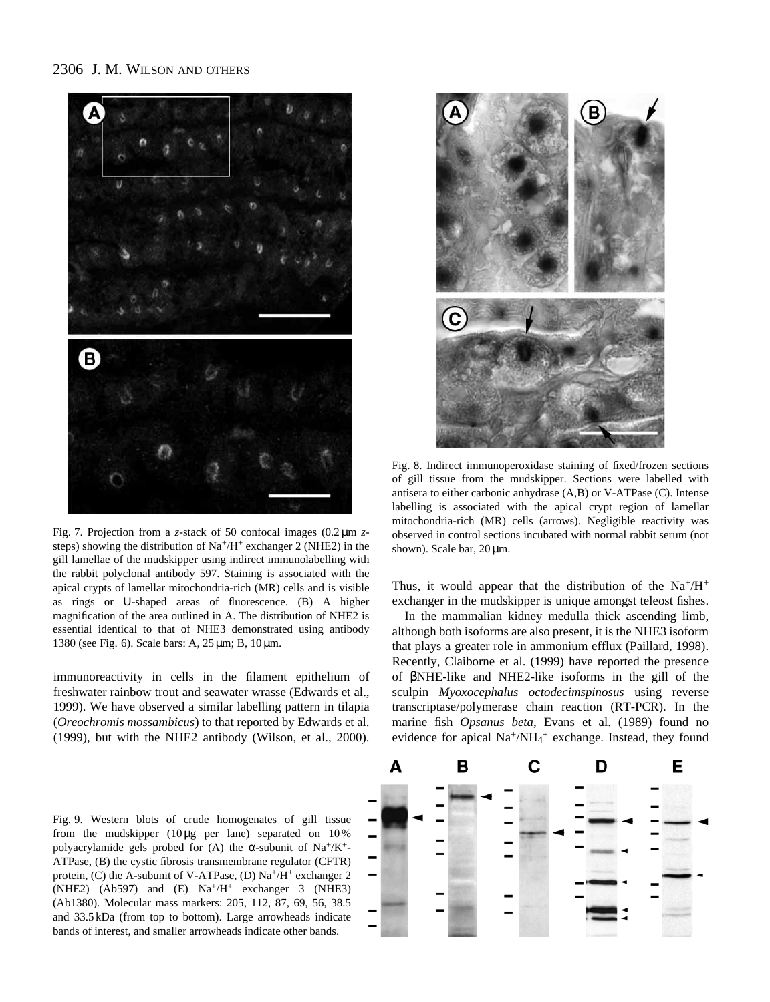

Fig. 7. Projection from a *z*-stack of 50 confocal images (0.2 µm *z*steps) showing the distribution of  $Na^+/H^+$  exchanger 2 (NHE2) in the gill lamellae of the mudskipper using indirect immunolabelling with the rabbit polyclonal antibody 597. Staining is associated with the apical crypts of lamellar mitochondria-rich (MR) cells and is visible as rings or U-shaped areas of fluorescence. (B) A higher magnification of the area outlined in A. The distribution of NHE2 is essential identical to that of NHE3 demonstrated using antibody 1380 (see Fig. 6). Scale bars: A, 25 µm; B, 10 µm.

immunoreactivity in cells in the filament epithelium of freshwater rainbow trout and seawater wrasse (Edwards et al., 1999). We have observed a similar labelling pattern in tilapia (*Oreochromis mossambicus*) to that reported by Edwards et al. (1999), but with the NHE2 antibody (Wilson, et al., 2000).

Fig. 9. Western blots of crude homogenates of gill tissue from the mudskipper  $(10 \mu g$  per lane) separated on  $10\%$ polyacrylamide gels probed for (A) the  $\alpha$ -subunit of Na<sup>+</sup>/K<sup>+</sup>-ATPase, (B) the cystic fibrosis transmembrane regulator (CFTR) protein, (C) the A-subunit of V-ATPase, (D)  $Na^+/H^+$  exchanger 2 (NHE2) (Ab597) and (E) Na+/H+ exchanger 3 (NHE3) (Ab1380). Molecular mass markers: 205, 112, 87, 69, 56, 38.5 and 33.5 kDa (from top to bottom). Large arrowheads indicate bands of interest, and smaller arrowheads indicate other bands.



Fig. 8. Indirect immunoperoxidase staining of fixed/frozen sections of gill tissue from the mudskipper. Sections were labelled with antisera to either carbonic anhydrase (A,B) or V-ATPase (C). Intense labelling is associated with the apical crypt region of lamellar mitochondria-rich (MR) cells (arrows). Negligible reactivity was observed in control sections incubated with normal rabbit serum (not shown). Scale bar, 20  $\mu$ m.

Thus, it would appear that the distribution of the  $Na^+/H^+$ exchanger in the mudskipper is unique amongst teleost fishes.

In the mammalian kidney medulla thick ascending limb, although both isoforms are also present, it is the NHE3 isoform that plays a greater role in ammonium efflux (Paillard, 1998). Recently, Claiborne et al. (1999) have reported the presence of βNHE-like and NHE2-like isoforms in the gill of the sculpin *Myoxocephalus octodecimspinosus* using reverse transcriptase/polymerase chain reaction (RT-PCR). In the marine fish *Opsanus beta*, Evans et al. (1989) found no evidence for apical Na<sup>+</sup>/NH<sub>4</sub><sup>+</sup> exchange. Instead, they found

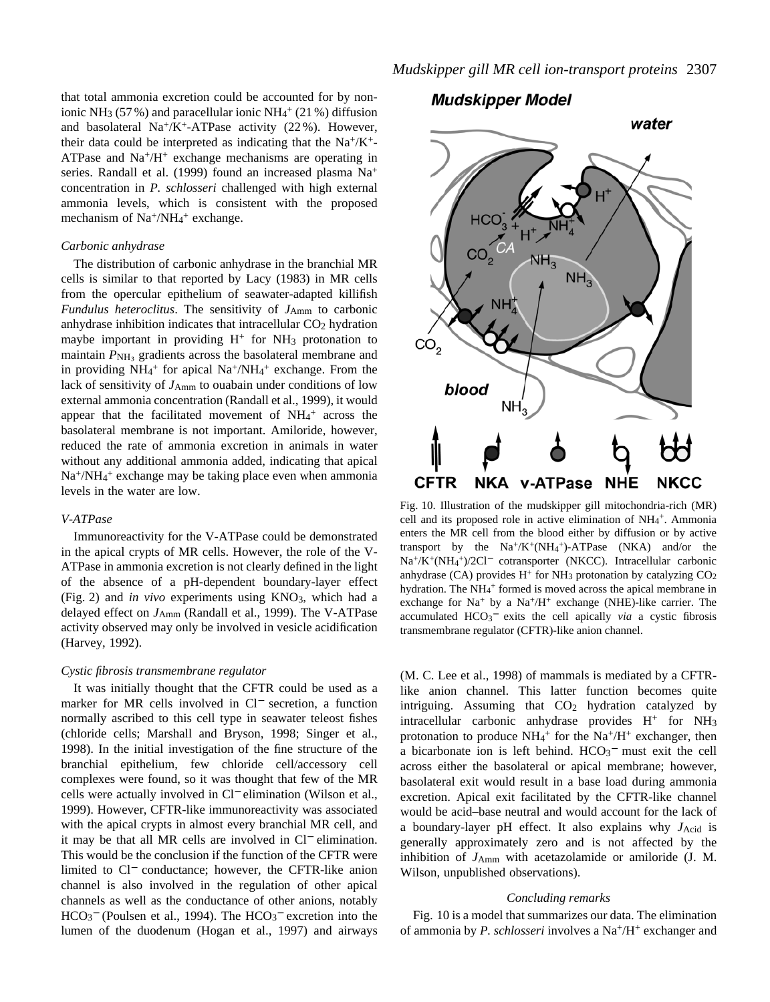that total ammonia excretion could be accounted for by nonionic NH<sub>3</sub> (57%) and paracellular ionic NH<sub>4</sub><sup>+</sup> (21%) diffusion and basolateral  $Na^{+}/K^{+}$ -ATPase activity (22%). However, their data could be interpreted as indicating that the  $Na^{+}/K^{+}$ ATPase and  $Na^{+}/H^{+}$  exchange mechanisms are operating in series. Randall et al. (1999) found an increased plasma Na+ concentration in *P. schlosseri* challenged with high external ammonia levels, which is consistent with the proposed mechanism of Na<sup>+</sup>/NH<sub>4</sub><sup>+</sup> exchange.

#### *Carbonic anhydrase*

The distribution of carbonic anhydrase in the branchial MR cells is similar to that reported by Lacy (1983) in MR cells from the opercular epithelium of seawater-adapted killifish *Fundulus heteroclitus*. The sensitivity of *J*<sub>Amm</sub> to carbonic anhydrase inhibition indicates that intracellular CO<sub>2</sub> hydration maybe important in providing  $H^+$  for  $NH_3$  protonation to maintain  $P_{\text{NH}_3}$  gradients across the basolateral membrane and in providing  $NH_4$ <sup>+</sup> for apical  $Na^+/NH_4$ <sup>+</sup> exchange. From the lack of sensitivity of  $J_{\text{Amm}}$  to ouabain under conditions of low external ammonia concentration (Randall et al., 1999), it would appear that the facilitated movement of  $NH<sub>4</sub>$ <sup>+</sup> across the basolateral membrane is not important. Amiloride, however, reduced the rate of ammonia excretion in animals in water without any additional ammonia added, indicating that apical Na<sup>+</sup>/NH<sub>4</sub><sup>+</sup> exchange may be taking place even when ammonia levels in the water are low.

### *V-ATPase*

Immunoreactivity for the V-ATPase could be demonstrated in the apical crypts of MR cells. However, the role of the V-ATPase in ammonia excretion is not clearly defined in the light of the absence of a pH-dependent boundary-layer effect (Fig. 2) and *in vivo* experiments using KNO3, which had a delayed effect on *J*Amm (Randall et al., 1999). The V-ATPase activity observed may only be involved in vesicle acidification (Harvey, 1992).

#### *Cystic fibrosis transmembrane regulator*

It was initially thought that the CFTR could be used as a marker for MR cells involved in Cl<sup>−</sup> secretion, a function normally ascribed to this cell type in seawater teleost fishes (chloride cells; Marshall and Bryson, 1998; Singer et al., 1998). In the initial investigation of the fine structure of the branchial epithelium, few chloride cell/accessory cell complexes were found, so it was thought that few of the MR cells were actually involved in Cl<sup>−</sup> elimination (Wilson et al., 1999). However, CFTR-like immunoreactivity was associated with the apical crypts in almost every branchial MR cell, and it may be that all MR cells are involved in Cl<sup>−</sup> elimination. This would be the conclusion if the function of the CFTR were limited to Cl<sup>−</sup> conductance; however, the CFTR-like anion channel is also involved in the regulation of other apical channels as well as the conductance of other anions, notably HCO<sub>3</sub><sup>−</sup> (Poulsen et al., 1994). The HCO<sub>3</sub><sup>−</sup> excretion into the lumen of the duodenum (Hogan et al., 1997) and airways

# **Mudskipper Model**



Fig. 10. Illustration of the mudskipper gill mitochondria-rich (MR) cell and its proposed role in active elimination of NH<sub>4</sub>+. Ammonia enters the MR cell from the blood either by diffusion or by active transport by the  $Na^+/K^+(NH_4^+)$ -ATPase (NKA) and/or the Na+/K+(NH4 +)/2Cl<sup>−</sup> cotransporter (NKCC). Intracellular carbonic anhydrase (CA) provides  $H^+$  for NH<sub>3</sub> protonation by catalyzing  $CO<sub>2</sub>$ hydration. The NH<sub>4</sub><sup>+</sup> formed is moved across the apical membrane in exchange for  $Na<sup>+</sup>$  by a  $Na<sup>+/H<sup>+</sup></sup>$  exchange (NHE)-like carrier. The accumulated HCO<sub>3</sub><sup>-</sup> exits the cell apically *via* a cystic fibrosis transmembrane regulator (CFTR)-like anion channel.

(M. C. Lee et al., 1998) of mammals is mediated by a CFTRlike anion channel. This latter function becomes quite intriguing. Assuming that CO<sub>2</sub> hydration catalyzed by intracellular carbonic anhydrase provides H<sup>+</sup> for NH3 protonation to produce  $NH_4^+$  for the  $Na^+/H^+$  exchanger, then a bicarbonate ion is left behind. HCO<sub>3</sub><sup>-</sup> must exit the cell across either the basolateral or apical membrane; however, basolateral exit would result in a base load during ammonia excretion. Apical exit facilitated by the CFTR-like channel would be acid–base neutral and would account for the lack of a boundary-layer pH effect. It also explains why *J*Acid is generally approximately zero and is not affected by the inhibition of *J*Amm with acetazolamide or amiloride (J. M. Wilson, unpublished observations).

#### *Concluding remarks*

Fig. 10 is a model that summarizes our data. The elimination of ammonia by *P. schlosseri* involves a Na+/H+ exchanger and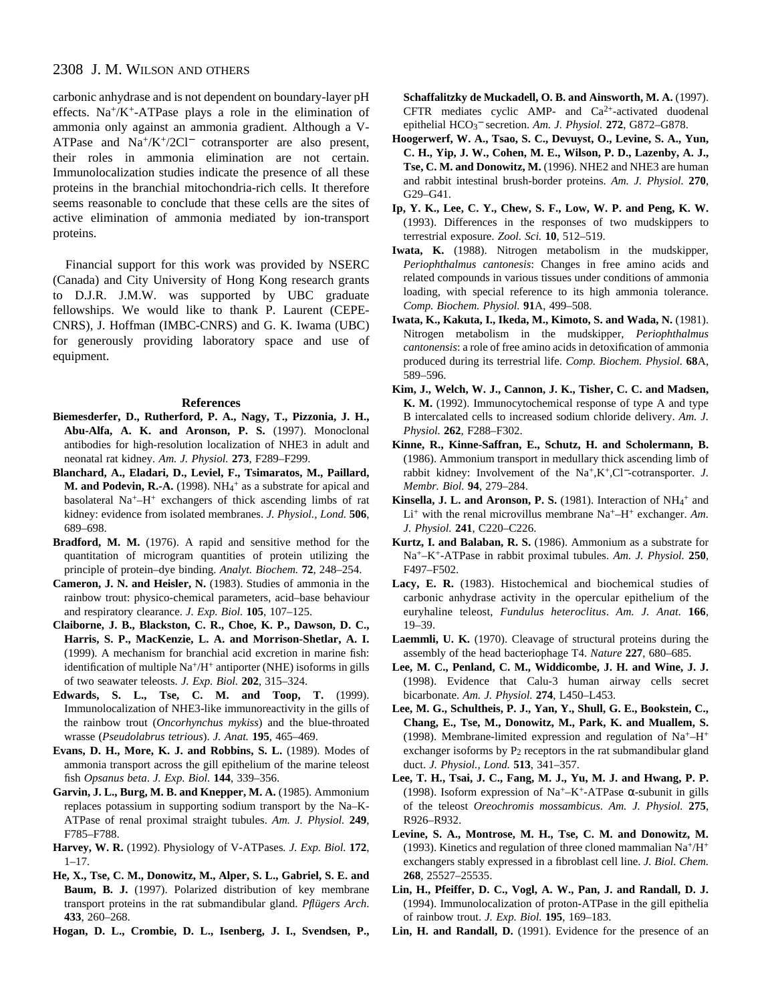carbonic anhydrase and is not dependent on boundary-layer pH effects. Na<sup>+</sup>/K<sup>+</sup>-ATPase plays a role in the elimination of ammonia only against an ammonia gradient. Although a V-ATPase and Na+/K+/2Cl<sup>−</sup> cotransporter are also present, their roles in ammonia elimination are not certain. Immunolocalization studies indicate the presence of all these proteins in the branchial mitochondria-rich cells. It therefore seems reasonable to conclude that these cells are the sites of active elimination of ammonia mediated by ion-transport proteins.

Financial support for this work was provided by NSERC (Canada) and City University of Hong Kong research grants to D.J.R. J.M.W. was supported by UBC graduate fellowships. We would like to thank P. Laurent (CEPE-CNRS), J. Hoffman (IMBC-CNRS) and G. K. Iwama (UBC) for generously providing laboratory space and use of equipment.

#### **References**

- **Biemesderfer, D., Rutherford, P. A., Nagy, T., Pizzonia, J. H., Abu-Alfa, A. K. and Aronson, P. S.** (1997). Monoclonal antibodies for high-resolution localization of NHE3 in adult and neonatal rat kidney. *Am. J. Physiol.* **273**, F289–F299.
- **Blanchard, A., Eladari, D., Leviel, F., Tsimaratos, M., Paillard,** M. and Podevin, R.-A. (1998). NH<sub>4</sub><sup>+</sup> as a substrate for apical and basolateral Na+–H+ exchangers of thick ascending limbs of rat kidney: evidence from isolated membranes. *J. Physiol., Lond.* **506**, 689–698.
- **Bradford, M. M.** (1976). A rapid and sensitive method for the quantitation of microgram quantities of protein utilizing the principle of protein–dye binding. *Analyt. Biochem.* **72**, 248–254.
- **Cameron, J. N. and Heisler, N.** (1983). Studies of ammonia in the rainbow trout: physico-chemical parameters, acid–base behaviour and respiratory clearance. *J. Exp. Biol.* **105**, 107–125.
- **Claiborne, J. B., Blackston, C. R., Choe, K. P., Dawson, D. C., Harris, S. P., MacKenzie, L. A. and Morrison-Shetlar, A. I.** (1999). A mechanism for branchial acid excretion in marine fish: identification of multiple  $Na^+/H^+$  antiporter (NHE) isoforms in gills of two seawater teleosts. *J. Exp. Biol.* **202**, 315–324.
- **Edwards, S. L., Tse, C. M. and Toop, T.** (1999). Immunolocalization of NHE3-like immunoreactivity in the gills of the rainbow trout (*Oncorhynchus mykiss*) and the blue-throated wrasse (*Pseudolabrus tetrious*). *J. Anat.* **195**, 465–469.
- **Evans, D. H., More, K. J. and Robbins, S. L.** (1989). Modes of ammonia transport across the gill epithelium of the marine teleost fish *Opsanus beta*. *J. Exp. Biol.* **144**, 339–356.
- **Garvin, J. L., Burg, M. B. and Knepper, M. A.** (1985). Ammonium replaces potassium in supporting sodium transport by the Na–K-ATPase of renal proximal straight tubules. *Am. J. Physiol.* **249**, F785–F788.
- **Harvey, W. R.** (1992). Physiology of V-ATPases*. J. Exp. Biol.* **172**, 1–17.
- **He, X., Tse, C. M., Donowitz, M., Alper, S. L., Gabriel, S. E. and Baum, B. J.** (1997). Polarized distribution of key membrane transport proteins in the rat submandibular gland. *Pflügers Arch*. **433**, 260–268.
- **Hogan, D. L., Crombie, D. L., Isenberg, J. I., Svendsen, P.,**

**Schaffalitzky de Muckadell, O. B. and Ainsworth, M. A.** (1997). CFTR mediates cyclic AMP- and  $Ca^{2+}$ -activated duodenal epithelial HCO3 <sup>−</sup> secretion. *Am. J. Physiol.* **272**, G872–G878.

- **Hoogerwerf, W. A., Tsao, S. C., Devuyst, O., Levine, S. A., Yun, C. H., Yip, J. W., Cohen, M. E., Wilson, P. D., Lazenby, A. J., Tse, C. M. and Donowitz, M.** (1996). NHE2 and NHE3 are human and rabbit intestinal brush-border proteins. *Am. J. Physiol.* **270**, G29–G41.
- **Ip, Y. K., Lee, C. Y., Chew, S. F., Low, W. P. and Peng, K. W.** (1993). Differences in the responses of two mudskippers to terrestrial exposure. *Zool. Sci.* **10**, 512–519.
- **Iwata, K.** (1988). Nitrogen metabolism in the mudskipper, *Periophthalmus cantonesis*: Changes in free amino acids and related compounds in various tissues under conditions of ammonia loading, with special reference to its high ammonia tolerance. *Comp. Biochem. Physiol.* **91**A, 499–508.
- **Iwata, K., Kakuta, I., Ikeda, M., Kimoto, S. and Wada, N.** (1981). Nitrogen metabolism in the mudskipper, *Periophthalmus cantonensis*: a role of free amino acids in detoxification of ammonia produced during its terrestrial life. *Comp. Biochem. Physiol.* **68**A, 589–596.
- **Kim, J., Welch, W. J., Cannon, J. K., Tisher, C. C. and Madsen, K. M.** (1992). Immunocytochemical response of type A and type B intercalated cells to increased sodium chloride delivery. *Am. J. Physiol.* **262**, F288–F302.
- **Kinne, R., Kinne-Saffran, E., Schutz, H. and Scholermann, B.** (1986). Ammonium transport in medullary thick ascending limb of rabbit kidney: Involvement of the Na+,K+,Cl<sup>−</sup>-cotransporter. *J. Membr. Biol.* **94**, 279–284.
- Kinsella, J. L. and Aronson, P. S. (1981). Interaction of NH<sub>4</sub><sup>+</sup> and  $Li^+$  with the renal microvillus membrane Na<sup>+</sup>-H<sup>+</sup> exchanger. Am. *J. Physiol.* **241**, C220–C226.
- **Kurtz, I. and Balaban, R. S.** (1986). Ammonium as a substrate for Na+–K+-ATPase in rabbit proximal tubules. *Am. J. Physiol.* **250**, F497–F502.
- **Lacy, E. R.** (1983). Histochemical and biochemical studies of carbonic anhydrase activity in the opercular epithelium of the euryhaline teleost, *Fundulus heteroclitus*. *Am. J. Anat.* **166**, 19–39.
- **Laemmli, U. K.** (1970). Cleavage of structural proteins during the assembly of the head bacteriophage T4. *Nature* **227**, 680–685.
- **Lee, M. C., Penland, C. M., Widdicombe, J. H. and Wine, J. J.** (1998). Evidence that Calu-3 human airway cells secret bicarbonate. *Am. J. Physiol.* **274**, L450–L453.
- **Lee, M. G., Schultheis, P. J., Yan, Y., Shull, G. E., Bookstein, C., Chang, E., Tse, M., Donowitz, M., Park, K. and Muallem, S.** (1998). Membrane-limited expression and regulation of  $Na^+$ –H<sup>+</sup> exchanger isoforms by  $P_2$  receptors in the rat submandibular gland duct. *J. Physiol., Lond.* **513**, 341–357.
- **Lee, T. H., Tsai, J. C., Fang, M. J., Yu, M. J. and Hwang, P. P.** (1998). Isoform expression of Na<sup>+</sup>–K<sup>+</sup>-ATPase  $\alpha$ -subunit in gills of the teleost *Oreochromis mossambicus*. *Am. J. Physiol.* **275**, R926–R932.
- **Levine, S. A., Montrose, M. H., Tse, C. M. and Donowitz, M.** (1993). Kinetics and regulation of three cloned mammalian  $Na^+/H^+$ exchangers stably expressed in a fibroblast cell line. *J. Biol. Chem.* **268**, 25527–25535.
- **Lin, H., Pfeiffer, D. C., Vogl, A. W., Pan, J. and Randall, D. J.** (1994). Immunolocalization of proton-ATPase in the gill epithelia of rainbow trout. *J. Exp. Biol.* **195**, 169–183.
- **Lin, H. and Randall, D.** (1991). Evidence for the presence of an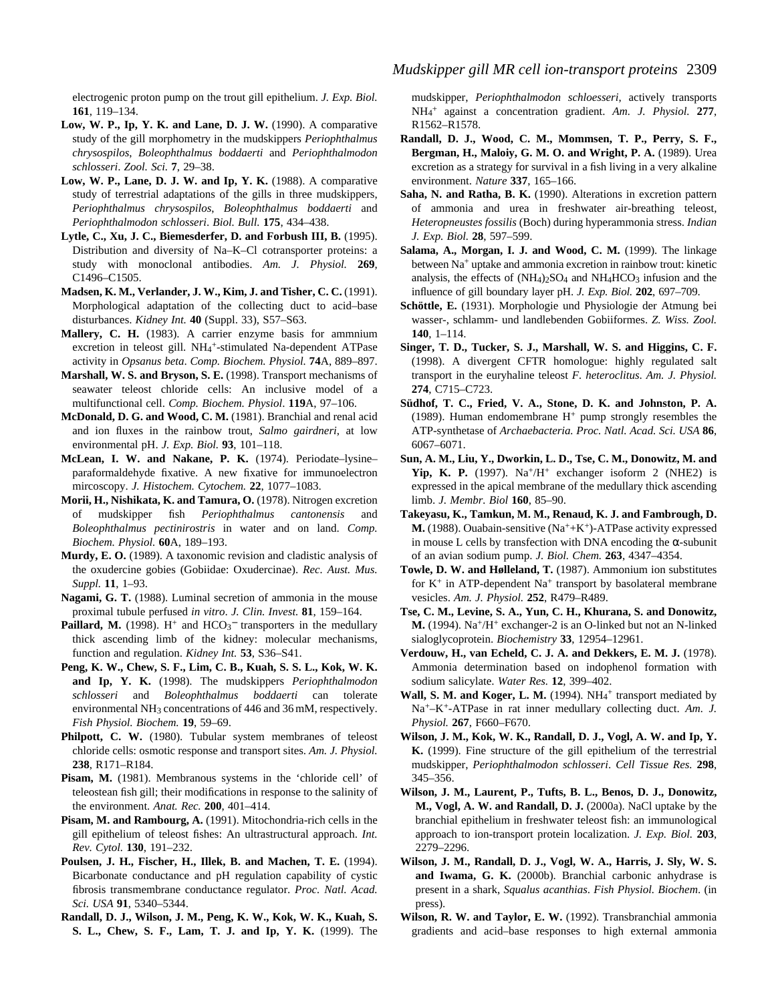electrogenic proton pump on the trout gill epithelium. *J. Exp. Biol.* **161**, 119–134.

- **Low, W. P., Ip, Y. K. and Lane, D. J. W.** (1990). A comparative study of the gill morphometry in the mudskippers *Periophthalmus chrysospilos*, *Boleophthalmus boddaerti* and *Periophthalmodon schlosseri*. *Zool. Sci.* **7**, 29–38.
- **Low, W. P., Lane, D. J. W. and Ip, Y. K.** (1988). A comparative study of terrestrial adaptations of the gills in three mudskippers, *Periophthalmus chrysospilos*, *Boleophthalmus boddaerti* and *Periophthalmodon schlosseri*. *Biol. Bull.* **175**, 434–438.
- **Lytle, C., Xu, J. C., Biemesderfer, D. and Forbush III, B.** (1995). Distribution and diversity of Na–K–Cl cotransporter proteins: a study with monoclonal antibodies. *Am. J. Physiol.* **269**, C1496–C1505.
- **Madsen, K. M., Verlander, J. W., Kim, J. and Tisher, C. C.** (1991). Morphological adaptation of the collecting duct to acid–base disturbances. *Kidney Int.* **40** (Suppl. 33), S57–S63.
- **Mallery, C. H.** (1983). A carrier enzyme basis for ammnium excretion in teleost gill. NH<sub>4</sub>+-stimulated Na-dependent ATPase activity in *Opsanus beta*. *Comp. Biochem. Physiol.* **74**A, 889–897.
- **Marshall, W. S. and Bryson, S. E.** (1998). Transport mechanisms of seawater teleost chloride cells: An inclusive model of a multifunctional cell. *Comp. Biochem. Physiol*. **119**A, 97–106.
- **McDonald, D. G. and Wood, C. M.** (1981). Branchial and renal acid and ion fluxes in the rainbow trout, *Salmo gairdneri*, at low environmental pH. *J. Exp. Biol.* **93**, 101–118.
- **McLean, I. W. and Nakane, P. K.** (1974). Periodate–lysine– paraformaldehyde fixative. A new fixative for immunoelectron mircoscopy. *J. Histochem. Cytochem.* **22**, 1077–1083.
- **Morii, H., Nishikata, K. and Tamura, O.** (1978). Nitrogen excretion of mudskipper fish *Periophthalmus cantonensis* and *Boleophthalmus pectinirostris* in water and on land. *Comp. Biochem. Physiol.* **60**A, 189–193.
- **Murdy, E. O.** (1989). A taxonomic revision and cladistic analysis of the oxudercine gobies (Gobiidae: Oxudercinae). *Rec. Aust. Mus. Suppl.* **11**, 1–93.
- **Nagami, G. T.** (1988). Luminal secretion of ammonia in the mouse proximal tubule perfused *in vitro*. *J. Clin. Invest.* **81**, 159–164.
- **Paillard, M.** (1998).  $H^+$  and  $HCO_3^-$  transporters in the medullary thick ascending limb of the kidney: molecular mechanisms, function and regulation. *Kidney Int.* **53**, S36–S41.
- **Peng, K. W., Chew, S. F., Lim, C. B., Kuah, S. S. L., Kok, W. K. and Ip, Y. K.** (1998). The mudskippers *Periophthalmodon schlosseri* and *Boleophthalmus boddaerti* can tolerate environmental NH3 concentrations of 446 and 36 mM, respectively. *Fish Physiol. Biochem.* **19**, 59–69.
- Philpott, C. W. (1980). Tubular system membranes of teleost chloride cells: osmotic response and transport sites. *Am. J. Physiol.* **238**, R171–R184.
- **Pisam, M.** (1981). Membranous systems in the 'chloride cell' of teleostean fish gill; their modifications in response to the salinity of the environment. *Anat. Rec.* **200**, 401–414.
- **Pisam, M. and Rambourg, A.** (1991). Mitochondria-rich cells in the gill epithelium of teleost fishes: An ultrastructural approach. *Int. Rev. Cytol.* **130**, 191–232.
- **Poulsen, J. H., Fischer, H., Illek, B. and Machen, T. E.** (1994). Bicarbonate conductance and pH regulation capability of cystic fibrosis transmembrane conductance regulator. *Proc. Natl. Acad. Sci. USA* **91**, 5340–5344.
- **Randall, D. J., Wilson, J. M., Peng, K. W., Kok, W. K., Kuah, S. S. L., Chew, S. F., Lam, T. J. and Ip, Y. K.** (1999). The

mudskipper, *Periophthalmodon schloesseri*, actively transports NH4 <sup>+</sup> against a concentration gradient. *Am. J. Physiol.* **277**, R1562–R1578.

- **Randall, D. J., Wood, C. M., Mommsen, T. P., Perry, S. F., Bergman, H., Maloiy, G. M. O. and Wright, P. A.** (1989). Urea excretion as a strategy for survival in a fish living in a very alkaline environment. *Nature* **337**, 165–166.
- **Saha, N. and Ratha, B. K.** (1990). Alterations in excretion pattern of ammonia and urea in freshwater air-breathing teleost, *Heteropneustes fossilis* (Boch) during hyperammonia stress. *Indian J. Exp. Biol.* **28**, 597–599.
- **Salama, A., Morgan, I. J. and Wood, C. M.** (1999). The linkage between Na<sup>+</sup> uptake and ammonia excretion in rainbow trout: kinetic analysis, the effects of  $(NH_4)_2SO_4$  and  $NH_4HCO_3$  infusion and the influence of gill boundary layer pH. *J. Exp. Biol.* **202**, 697–709.
- **Schöttle, E.** (1931). Morphologie und Physiologie der Atmung bei wasser-, schlamm- und landlebenden Gobiiformes. *Z. Wiss. Zool.* **140**, 1–114.
- **Singer, T. D., Tucker, S. J., Marshall, W. S. and Higgins, C. F.** (1998). A divergent CFTR homologue: highly regulated salt transport in the euryhaline teleost *F. heteroclitus*. *Am. J. Physiol.* **274**, C715–C723.
- **Südhof, T. C., Fried, V. A., Stone, D. K. and Johnston, P. A.** (1989). Human endomembrane  $H^+$  pump strongly resembles the ATP-synthetase of *Archaebacteria. Proc. Natl. Acad. Sci. USA* **86**, 6067–6071.
- **Sun, A. M., Liu, Y., Dworkin, L. D., Tse, C. M., Donowitz, M. and Yip, K. P.** (1997).  $Na^{+}/H^{+}$  exchanger isoform 2 (NHE2) is expressed in the apical membrane of the medullary thick ascending limb. *J. Membr. Biol* **160**, 85–90.
- **Takeyasu, K., Tamkun, M. M., Renaud, K. J. and Fambrough, D. M.** (1988). Ouabain-sensitive (Na++K+)-ATPase activity expressed in mouse L cells by transfection with DNA encoding the  $\alpha$ -subunit of an avian sodium pump. *J. Biol. Chem.* **263**, 4347–4354.
- **Towle, D. W. and Hølleland, T.** (1987). Ammonium ion substitutes for  $K^+$  in ATP-dependent Na<sup>+</sup> transport by basolateral membrane vesicles. *Am. J. Physiol.* **252**, R479–R489.
- **Tse, C. M., Levine, S. A., Yun, C. H., Khurana, S. and Donowitz, M.** (1994). Na+/H+ exchanger-2 is an O-linked but not an N-linked sialoglycoprotein. *Biochemistry* **33**, 12954–12961.
- **Verdouw, H., van Echeld, C. J. A. and Dekkers, E. M. J.** (1978). Ammonia determination based on indophenol formation with sodium salicylate. *Water Res.* **12**, 399–402.
- Wall, S. M. and Koger, L. M. (1994). NH<sub>4</sub><sup>+</sup> transport mediated by Na+–K+-ATPase in rat inner medullary collecting duct. *Am. J. Physiol.* **267**, F660–F670.
- **Wilson, J. M., Kok, W. K., Randall, D. J., Vogl, A. W. and Ip, Y. K.** (1999). Fine structure of the gill epithelium of the terrestrial mudskipper, *Periophthalmodon schlosseri*. *Cell Tissue Res.* **298**, 345–356.
- **Wilson, J. M., Laurent, P., Tufts, B. L., Benos, D. J., Donowitz, M., Vogl, A. W. and Randall, D. J.** (2000a). NaCl uptake by the branchial epithelium in freshwater teleost fish: an immunological approach to ion-transport protein localization. *J. Exp. Biol.* **203**, 2279–2296.
- **Wilson, J. M., Randall, D. J., Vogl, W. A., Harris, J. Sly, W. S. and Iwama, G. K.** (2000b). Branchial carbonic anhydrase is present in a shark, *Squalus acanthias*. *Fish Physiol. Biochem*. (in press).
- **Wilson, R. W. and Taylor, E. W.** (1992). Transbranchial ammonia gradients and acid–base responses to high external ammonia